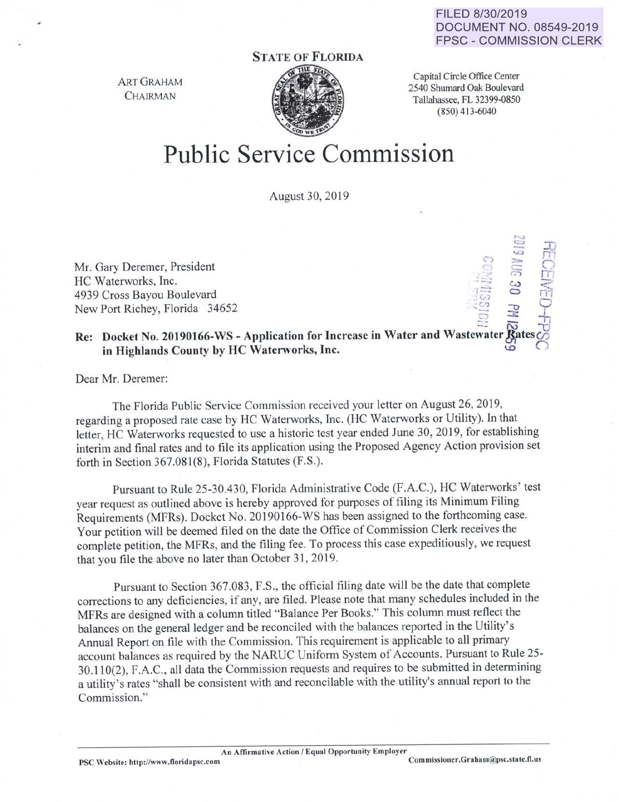## FILED 8/30/2019 DOCUMENT NO. 08549-2019 FPSC- COMMISSION CLERK

terminal terminal property •• ,

 $\sim$   $\frac{5}{2}$   $\Box$ 

.:::. .\_ lj

## STATE OF FLORIDA

ART GRAHAM **CHAIRMAN** 



Capital Circle Office Center 2540 Shumard Oak Boulevard Tallahassee, FL 32399-0850 (850) 413-6040

## Public Service Commission

August 30, 2019

Mr. Gary Deremer, President HC Waterworks, Inc. 4939 Cross Bayou Boulevard New Port Richey, Florida 34652

## Re: Docket No. 20190166-WS - Application for Increase in Water and Wastewater Rates in Highlands County by HC Waterworks, Inc.

Dear Mr. Deremer:

The Florida Public Service Commission received your letter on August 26, 2019, regarding a proposed rate case by HC Waterworks, Inc. (HC Waterworks or Utility). In that letter, HC Waterworks requested to use a historic test year ended June 30, 2019, for establishing interim and final rates and to file its application using the Proposed Agency Action provision set forth in Section 367.081(8), Florida Statutes (F.S.).

Pursuant to Rule 25-30.430, Florida Administrative Code (F.A.C.), HC Waterworks' test year request as outlined above is hereby approved for purposes of filing its Minimum Filing Requirements (MFRs). Docket No. 20190166-WS has been assigned to the forthcoming case. Your petition will be deemed filed on the date the Office of Commission Clerk receives the complete petition, the MFRs, and the filing fee. To process this case expeditiously, we request that you file the above no later than October 31, 2019.

Pursuant to Section 367.083, F.S., the official filing date will be the date that complete corrections to any deficiencies, if any, are filed. Please note that many schedules included in the MFRs are designed with a column titled "Balance Per Books." This column must reflect the balances on the general ledger and be reconciled with the balances reported in the Utility's Annual Report on file with the Commission. This requirement is applicable to all primary account balances as required by the NARUC Uniform System of Accounts. Pursuant to Rule 25-30.11 0(2), F.A.C., all data the Commission requests and requires to be submitted in determining a utility's rates "shall be consistent with and reconcilable with the utility's annual report to the Commission."

An Affirmative Action / Equal Opportunity Employer<br>Commissioner.Graham@psc.state.fl.us

PSC Website: http://www.floridapsc.com